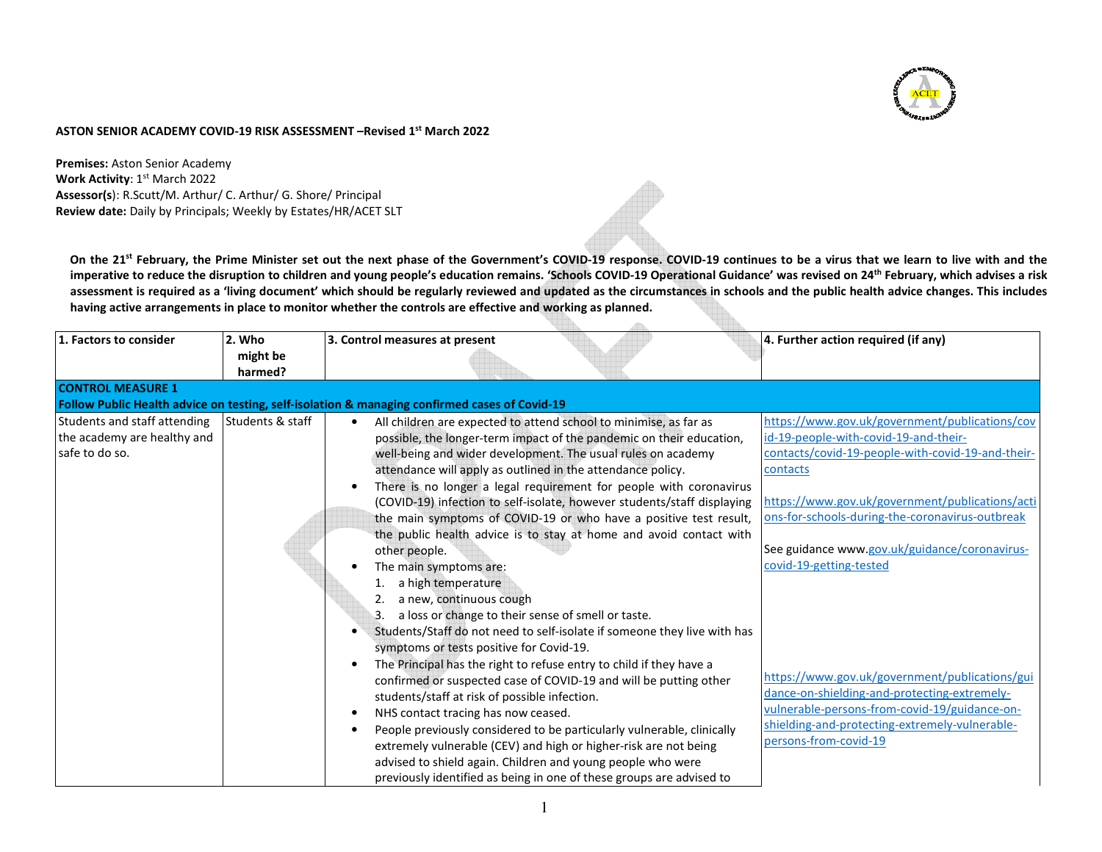

## **ASTON SENIOR ACADEMY COVID-19 RISK ASSESSMENT –Revised 1st March 2022**

**Premises:** Aston Senior Academy **Work Activity: 1st March 2022 Assessor(s**): R.Scutt/M. Arthur/ C. Arthur/ G. Shore/ Principal**Review date:** Daily by Principals; Weekly by Estates/HR/ACET SLT

**On the 21st February, the Prime Minister set out the next phase of the Government's COVID-19 response. COVID-19 continues to be a virus that we learn to live with and the imperative to reduce the disruption to children and young people's education remains. 'Schools COVID-19 Operational Guidance' was revised on 24th February, which advises a risk assessment is required as a 'living document' which should be regularly reviewed and updated as the circumstances in schools and the public health advice changes. This includes having active arrangements in place to monitor whether the controls are effective and working as planned.** 

| 1. Factors to consider       | 2. Who<br>might be | 3. Control measures at present                                                                | 4. Further action required (if any)               |
|------------------------------|--------------------|-----------------------------------------------------------------------------------------------|---------------------------------------------------|
|                              | harmed?            |                                                                                               |                                                   |
| <b>CONTROL MEASURE 1</b>     |                    |                                                                                               |                                                   |
|                              |                    | Follow Public Health advice on testing, self-isolation & managing confirmed cases of Covid-19 |                                                   |
| Students and staff attending | Students & staff   | All children are expected to attend school to minimise, as far as                             | https://www.gov.uk/government/publications/cov    |
| the academy are healthy and  |                    | possible, the longer-term impact of the pandemic on their education,                          | id-19-people-with-covid-19-and-their-             |
| safe to do so.               |                    | well-being and wider development. The usual rules on academy                                  | contacts/covid-19-people-with-covid-19-and-their- |
|                              |                    | attendance will apply as outlined in the attendance policy.                                   | contacts                                          |
|                              |                    | There is no longer a legal requirement for people with coronavirus                            |                                                   |
|                              |                    | (COVID-19) infection to self-isolate, however students/staff displaying                       | https://www.gov.uk/government/publications/acti   |
|                              |                    | the main symptoms of COVID-19 or who have a positive test result,                             | ons-for-schools-during-the-coronavirus-outbreak   |
|                              |                    | the public health advice is to stay at home and avoid contact with                            |                                                   |
|                              |                    | other people.                                                                                 | See guidance www.gov.uk/guidance/coronavirus-     |
|                              |                    | The main symptoms are:                                                                        | covid-19-getting-tested                           |
|                              |                    | a high temperature                                                                            |                                                   |
|                              |                    | a new, continuous cough                                                                       |                                                   |
|                              |                    | a loss or change to their sense of smell or taste.                                            |                                                   |
|                              |                    | Students/Staff do not need to self-isolate if someone they live with has<br>$\bullet$         |                                                   |
|                              |                    | symptoms or tests positive for Covid-19.                                                      |                                                   |
|                              |                    | The Principal has the right to refuse entry to child if they have a                           |                                                   |
|                              |                    | confirmed or suspected case of COVID-19 and will be putting other                             | https://www.gov.uk/government/publications/gui    |
|                              |                    | students/staff at risk of possible infection.                                                 | dance-on-shielding-and-protecting-extremely-      |
|                              |                    | NHS contact tracing has now ceased.<br>$\bullet$                                              | vulnerable-persons-from-covid-19/guidance-on-     |
|                              |                    | People previously considered to be particularly vulnerable, clinically                        | shielding-and-protecting-extremely-vulnerable-    |
|                              |                    | extremely vulnerable (CEV) and high or higher-risk are not being                              | persons-from-covid-19                             |
|                              |                    | advised to shield again. Children and young people who were                                   |                                                   |
|                              |                    | previously identified as being in one of these groups are advised to                          |                                                   |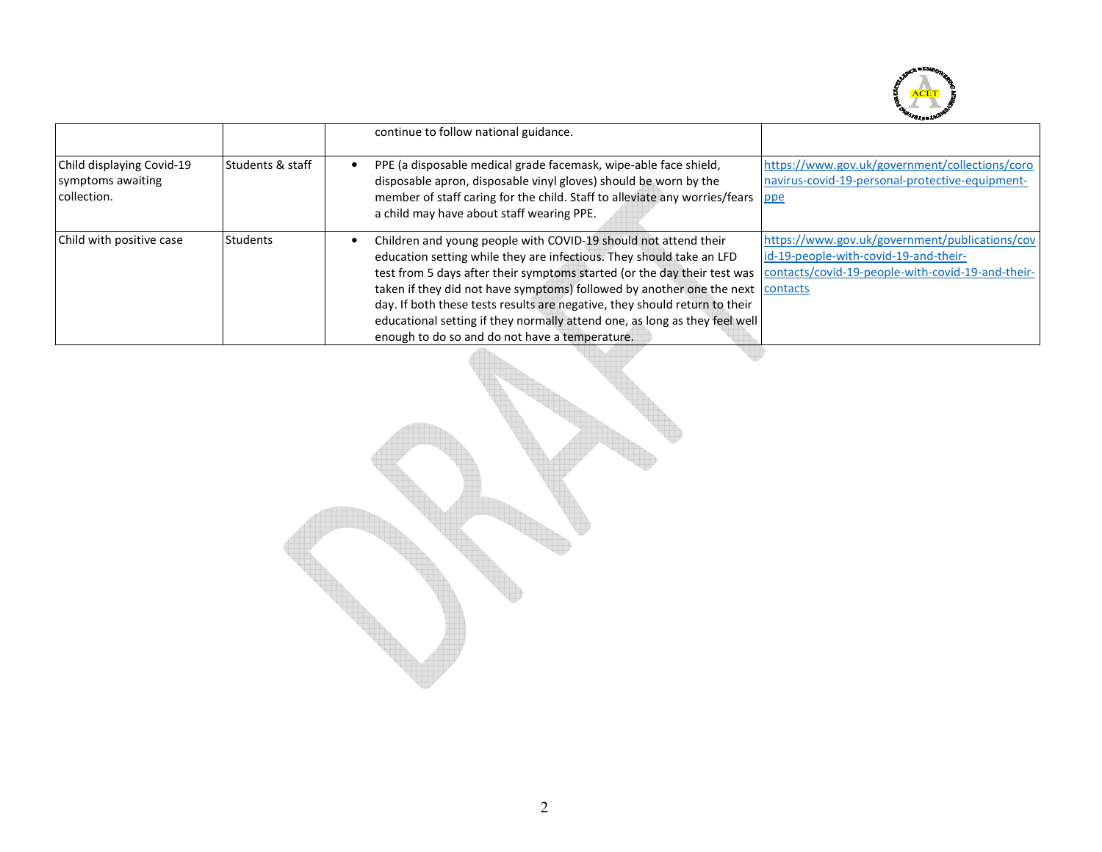

|                                                               |                             | continue to follow national guidance.                                                                                                                                                                                                                                                                                                                                                                                                                                                                               |                                                                                                                                              |
|---------------------------------------------------------------|-----------------------------|---------------------------------------------------------------------------------------------------------------------------------------------------------------------------------------------------------------------------------------------------------------------------------------------------------------------------------------------------------------------------------------------------------------------------------------------------------------------------------------------------------------------|----------------------------------------------------------------------------------------------------------------------------------------------|
| Child displaying Covid-19<br>symptoms awaiting<br>collection. | <b>Students &amp; staff</b> | PPE (a disposable medical grade facemask, wipe-able face shield,<br>disposable apron, disposable vinyl gloves) should be worn by the<br>member of staff caring for the child. Staff to alleviate any worries/fears ppe<br>a child may have about staff wearing PPE.                                                                                                                                                                                                                                                 | https://www.gov.uk/government/collections/coro<br>navirus-covid-19-personal-protective-equipment-                                            |
| Child with positive case                                      | Students                    | Children and young people with COVID-19 should not attend their<br>education setting while they are infectious. They should take an LFD<br>test from 5 days after their symptoms started (or the day their test was<br>taken if they did not have symptoms) followed by another one the next contacts<br>day. If both these tests results are negative, they should return to their<br>educational setting if they normally attend one, as long as they feel well<br>enough to do so and do not have a temperature. | https://www.gov.uk/government/publications/cov<br>id-19-people-with-covid-19-and-their-<br>contacts/covid-19-people-with-covid-19-and-their- |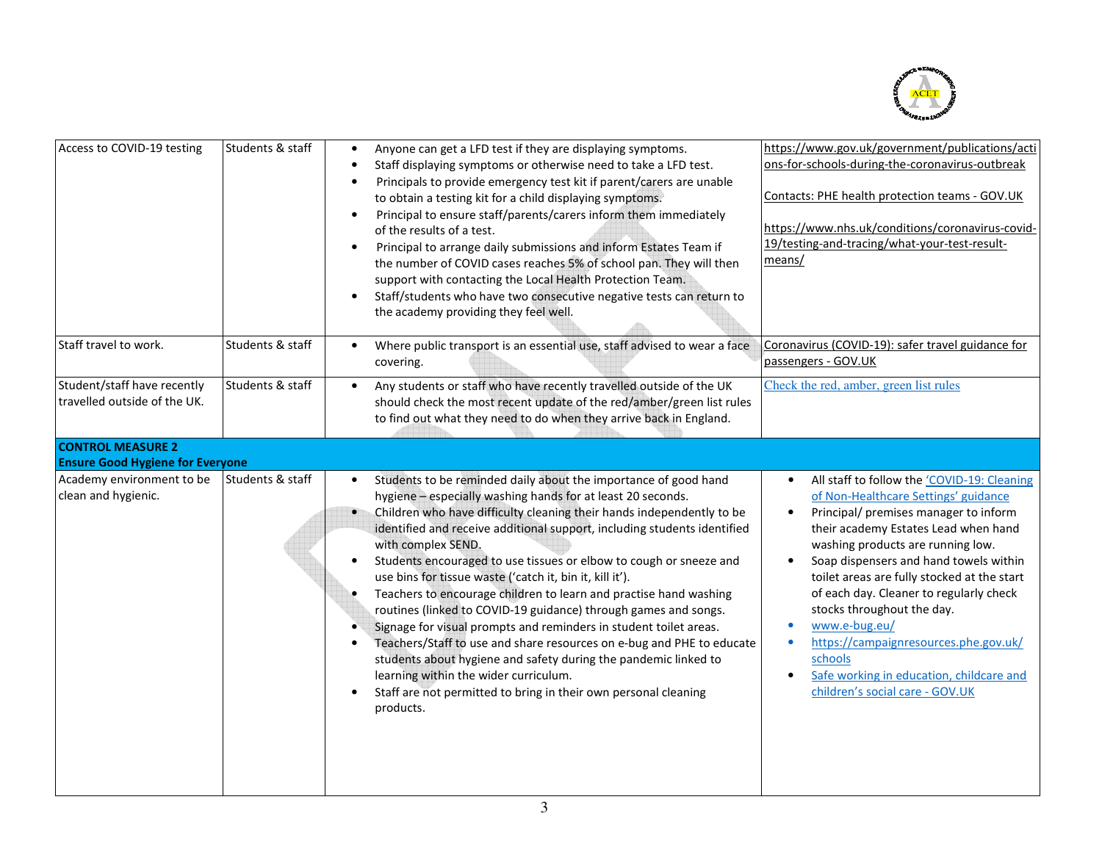

| Access to COVID-19 testing                                          | Students & staff | https://www.gov.uk/government/publications/acti<br>Anyone can get a LFD test if they are displaying symptoms.<br>$\bullet$<br>ons-for-schools-during-the-coronavirus-outbreak<br>Staff displaying symptoms or otherwise need to take a LFD test.<br>Principals to provide emergency test kit if parent/carers are unable<br>$\bullet$<br>Contacts: PHE health protection teams - GOV.UK<br>to obtain a testing kit for a child displaying symptoms.<br>Principal to ensure staff/parents/carers inform them immediately<br>$\bullet$<br>https://www.nhs.uk/conditions/coronavirus-covid-<br>of the results of a test.<br>19/testing-and-tracing/what-your-test-result-<br>Principal to arrange daily submissions and inform Estates Team if<br>$\bullet$<br>means/<br>the number of COVID cases reaches 5% of school pan. They will then<br>support with contacting the Local Health Protection Team.<br>Staff/students who have two consecutive negative tests can return to<br>$\bullet$<br>the academy providing they feel well.                                                                                                                                                                                                                                                                                                                                                                                                                                                                                                            |
|---------------------------------------------------------------------|------------------|------------------------------------------------------------------------------------------------------------------------------------------------------------------------------------------------------------------------------------------------------------------------------------------------------------------------------------------------------------------------------------------------------------------------------------------------------------------------------------------------------------------------------------------------------------------------------------------------------------------------------------------------------------------------------------------------------------------------------------------------------------------------------------------------------------------------------------------------------------------------------------------------------------------------------------------------------------------------------------------------------------------------------------------------------------------------------------------------------------------------------------------------------------------------------------------------------------------------------------------------------------------------------------------------------------------------------------------------------------------------------------------------------------------------------------------------------------------------------------------------------------------------------------------------|
| Staff travel to work.                                               | Students & staff | Coronavirus (COVID-19): safer travel guidance for<br>Where public transport is an essential use, staff advised to wear a face<br>$\bullet$<br>passengers - GOV.UK<br>covering.                                                                                                                                                                                                                                                                                                                                                                                                                                                                                                                                                                                                                                                                                                                                                                                                                                                                                                                                                                                                                                                                                                                                                                                                                                                                                                                                                                 |
| Student/staff have recently<br>travelled outside of the UK.         | Students & staff | Check the red, amber, green list rules<br>Any students or staff who have recently travelled outside of the UK<br>$\bullet$<br>should check the most recent update of the red/amber/green list rules<br>to find out what they need to do when they arrive back in England.                                                                                                                                                                                                                                                                                                                                                                                                                                                                                                                                                                                                                                                                                                                                                                                                                                                                                                                                                                                                                                                                                                                                                                                                                                                                      |
| <b>CONTROL MEASURE 2</b><br><b>Ensure Good Hygiene for Everyone</b> |                  |                                                                                                                                                                                                                                                                                                                                                                                                                                                                                                                                                                                                                                                                                                                                                                                                                                                                                                                                                                                                                                                                                                                                                                                                                                                                                                                                                                                                                                                                                                                                                |
| Academy environment to be<br>clean and hygienic.                    | Students & staff | Students to be reminded daily about the importance of good hand<br>All staff to follow the 'COVID-19: Cleaning<br>hygiene - especially washing hands for at least 20 seconds.<br>of Non-Healthcare Settings' guidance<br>Children who have difficulty cleaning their hands independently to be<br>Principal/ premises manager to inform<br>$\bullet$<br>identified and receive additional support, including students identified<br>their academy Estates Lead when hand<br>with complex SEND.<br>washing products are running low.<br>Students encouraged to use tissues or elbow to cough or sneeze and<br>Soap dispensers and hand towels within<br>$\bullet$<br>use bins for tissue waste ('catch it, bin it, kill it').<br>toilet areas are fully stocked at the start<br>Teachers to encourage children to learn and practise hand washing<br>of each day. Cleaner to regularly check<br>stocks throughout the day.<br>routines (linked to COVID-19 guidance) through games and songs.<br>www.e-bug.eu/<br>Signage for visual prompts and reminders in student toilet areas.<br>$\bullet$<br>https://campaignresources.phe.gov.uk/<br>Teachers/Staff to use and share resources on e-bug and PHE to educate<br>$\bullet$<br>$\bullet$<br>students about hygiene and safety during the pandemic linked to<br>schools<br>learning within the wider curriculum.<br>Safe working in education, childcare and<br>children's social care - GOV.UK<br>Staff are not permitted to bring in their own personal cleaning<br>$\bullet$<br>products. |
|                                                                     |                  |                                                                                                                                                                                                                                                                                                                                                                                                                                                                                                                                                                                                                                                                                                                                                                                                                                                                                                                                                                                                                                                                                                                                                                                                                                                                                                                                                                                                                                                                                                                                                |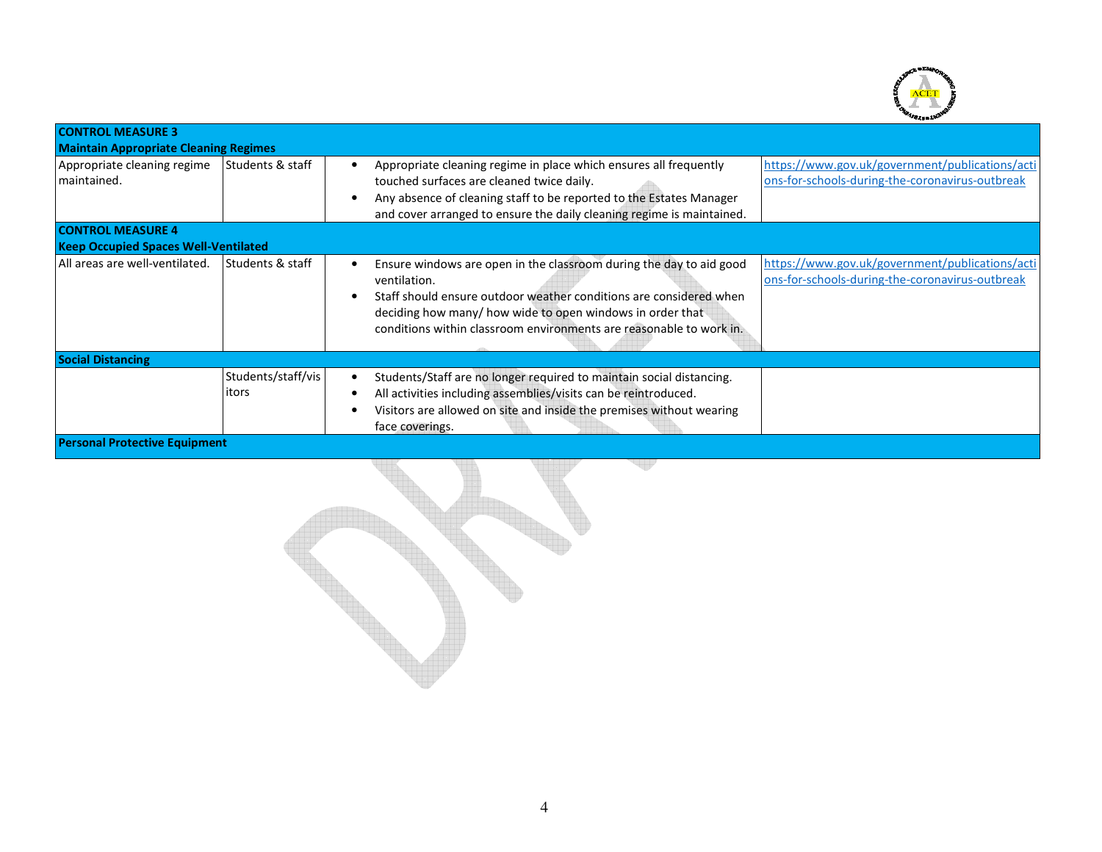

| <b>CONTROL MEASURE 3</b>                     |                             |                                                                                                                                                                                                                                                                                                                                                                                                                   |
|----------------------------------------------|-----------------------------|-------------------------------------------------------------------------------------------------------------------------------------------------------------------------------------------------------------------------------------------------------------------------------------------------------------------------------------------------------------------------------------------------------------------|
| <b>Maintain Appropriate Cleaning Regimes</b> |                             |                                                                                                                                                                                                                                                                                                                                                                                                                   |
| Appropriate cleaning regime<br>maintained.   | Students & staff            | https://www.gov.uk/government/publications/acti<br>Appropriate cleaning regime in place which ensures all frequently<br>ons-for-schools-during-the-coronavirus-outbreak<br>touched surfaces are cleaned twice daily.<br>Any absence of cleaning staff to be reported to the Estates Manager<br>$\bullet$<br>and cover arranged to ensure the daily cleaning regime is maintained.                                 |
| <b>CONTROL MEASURE 4</b>                     |                             |                                                                                                                                                                                                                                                                                                                                                                                                                   |
| <b>Keep Occupied Spaces Well-Ventilated</b>  |                             |                                                                                                                                                                                                                                                                                                                                                                                                                   |
| All areas are well-ventilated.               | l Students & staff          | https://www.gov.uk/government/publications/acti<br>Ensure windows are open in the classroom during the day to aid good<br>ons-for-schools-during-the-coronavirus-outbreak<br>ventilation.<br>Staff should ensure outdoor weather conditions are considered when<br>$\epsilon$<br>deciding how many/ how wide to open windows in order that<br>conditions within classroom environments are reasonable to work in. |
| <b>Social Distancing</b>                     |                             |                                                                                                                                                                                                                                                                                                                                                                                                                   |
|                                              | Students/staff/vis<br>itors | Students/Staff are no longer required to maintain social distancing.<br>All activities including assemblies/visits can be reintroduced.<br>Visitors are allowed on site and inside the premises without wearing<br>face coverings.                                                                                                                                                                                |
| <b>Personal Protective Equipment</b>         |                             |                                                                                                                                                                                                                                                                                                                                                                                                                   |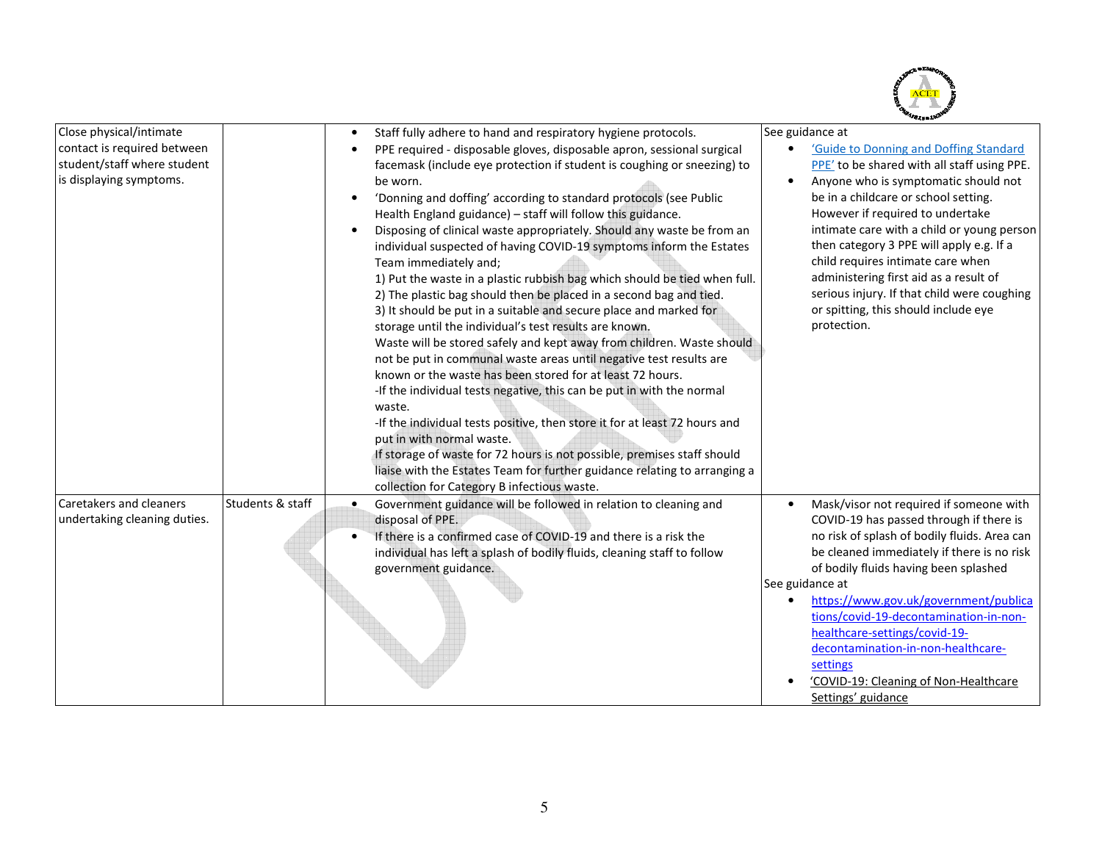

| Close physical/intimate      |                  |   | Staff fully adhere to hand and respiratory hygiene protocols.              | See guidance at                                                         |
|------------------------------|------------------|---|----------------------------------------------------------------------------|-------------------------------------------------------------------------|
| contact is required between  |                  |   | PPE required - disposable gloves, disposable apron, sessional surgical     | 'Guide to Donning and Doffing Standard                                  |
| student/staff where student  |                  |   | facemask (include eye protection if student is coughing or sneezing) to    | PPE' to be shared with all staff using PPE.                             |
| is displaying symptoms.      |                  |   | be worn.                                                                   | Anyone who is symptomatic should not                                    |
|                              |                  |   | 'Donning and doffing' according to standard protocols (see Public          | be in a childcare or school setting.                                    |
|                              |                  |   | Health England guidance) - staff will follow this guidance.                | However if required to undertake                                        |
|                              |                  |   | Disposing of clinical waste appropriately. Should any waste be from an     | intimate care with a child or young person                              |
|                              |                  |   | individual suspected of having COVID-19 symptoms inform the Estates        | then category 3 PPE will apply e.g. If a                                |
|                              |                  |   | Team immediately and;                                                      | child requires intimate care when                                       |
|                              |                  |   | 1) Put the waste in a plastic rubbish bag which should be tied when full.  | administering first aid as a result of                                  |
|                              |                  |   | 2) The plastic bag should then be placed in a second bag and tied.         | serious injury. If that child were coughing                             |
|                              |                  |   | 3) It should be put in a suitable and secure place and marked for          | or spitting, this should include eye                                    |
|                              |                  |   | storage until the individual's test results are known.                     | protection.                                                             |
|                              |                  |   | Waste will be stored safely and kept away from children. Waste should      |                                                                         |
|                              |                  |   | not be put in communal waste areas until negative test results are         |                                                                         |
|                              |                  |   | known or the waste has been stored for at least 72 hours.                  |                                                                         |
|                              |                  |   | -If the individual tests negative, this can be put in with the normal      |                                                                         |
|                              |                  |   | waste.                                                                     |                                                                         |
|                              |                  |   | -If the individual tests positive, then store it for at least 72 hours and |                                                                         |
|                              |                  |   | put in with normal waste.                                                  |                                                                         |
|                              |                  |   | If storage of waste for 72 hours is not possible, premises staff should    |                                                                         |
|                              |                  |   | liaise with the Estates Team for further guidance relating to arranging a  |                                                                         |
|                              |                  |   | collection for Category B infectious waste.                                |                                                                         |
| Caretakers and cleaners      | Students & staff | ٠ | Government guidance will be followed in relation to cleaning and           | Mask/visor not required if someone with                                 |
| undertaking cleaning duties. |                  |   | disposal of PPE.                                                           | COVID-19 has passed through if there is                                 |
|                              |                  |   | If there is a confirmed case of COVID-19 and there is a risk the           | no risk of splash of bodily fluids. Area can                            |
|                              |                  |   | individual has left a splash of bodily fluids, cleaning staff to follow    | be cleaned immediately if there is no risk                              |
|                              |                  |   | government guidance.                                                       | of bodily fluids having been splashed                                   |
|                              |                  |   |                                                                            | See guidance at                                                         |
|                              |                  |   |                                                                            | https://www.gov.uk/government/publica                                   |
|                              |                  |   |                                                                            | tions/covid-19-decontamination-in-non-<br>healthcare-settings/covid-19- |
|                              |                  |   |                                                                            | decontamination-in-non-healthcare-                                      |
|                              |                  |   |                                                                            | settings                                                                |
|                              |                  |   |                                                                            | 'COVID-19: Cleaning of Non-Healthcare                                   |
|                              |                  |   |                                                                            | Settings' guidance                                                      |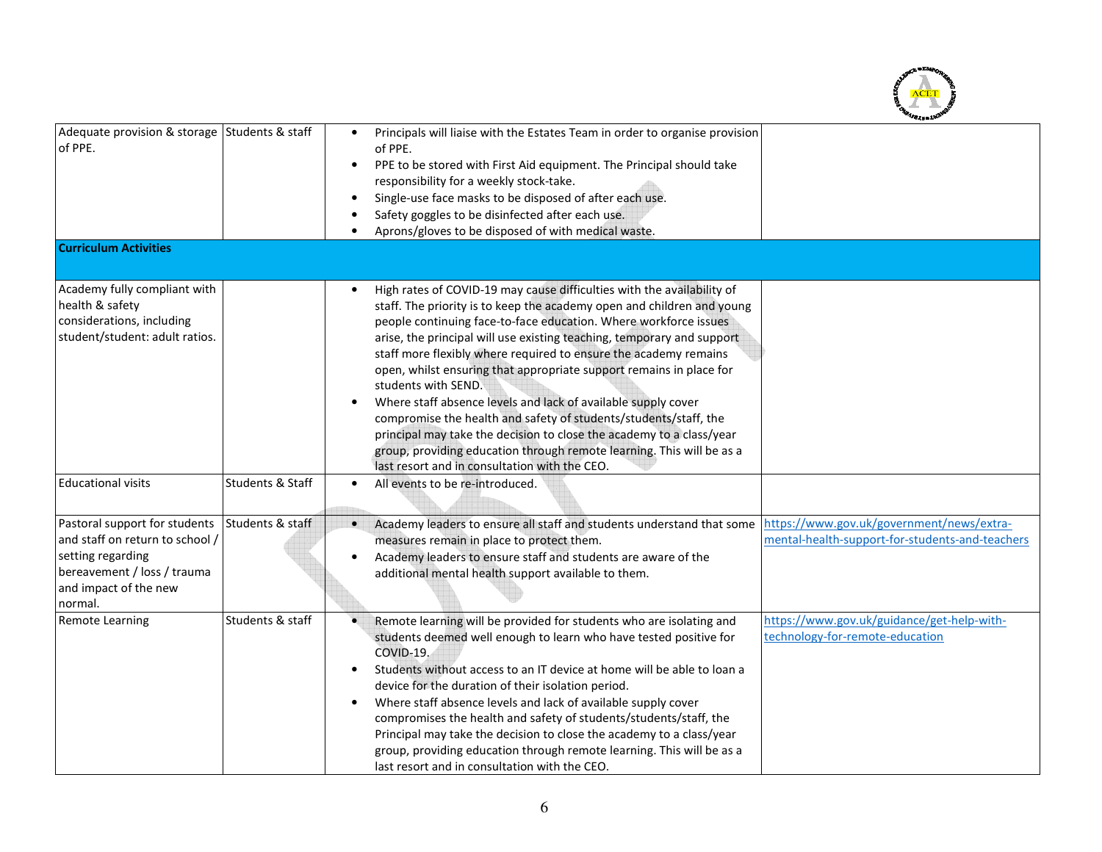

| Adequate provision & storage Students & staff<br>of PPE.                                                                                                 |                  | $\bullet$<br>$\bullet$ | Principals will liaise with the Estates Team in order to organise provision<br>of PPE.<br>PPE to be stored with First Aid equipment. The Principal should take<br>responsibility for a weekly stock-take.<br>Single-use face masks to be disposed of after each use.<br>Safety goggles to be disinfected after each use.<br>Aprons/gloves to be disposed of with medical waste.                                                                                                                                                                                                                                                                                                                                                                                                                         |                                                                                              |
|----------------------------------------------------------------------------------------------------------------------------------------------------------|------------------|------------------------|---------------------------------------------------------------------------------------------------------------------------------------------------------------------------------------------------------------------------------------------------------------------------------------------------------------------------------------------------------------------------------------------------------------------------------------------------------------------------------------------------------------------------------------------------------------------------------------------------------------------------------------------------------------------------------------------------------------------------------------------------------------------------------------------------------|----------------------------------------------------------------------------------------------|
| <b>Curriculum Activities</b>                                                                                                                             |                  |                        |                                                                                                                                                                                                                                                                                                                                                                                                                                                                                                                                                                                                                                                                                                                                                                                                         |                                                                                              |
| Academy fully compliant with<br>health & safety<br>considerations, including<br>student/student: adult ratios.                                           |                  | $\bullet$              | High rates of COVID-19 may cause difficulties with the availability of<br>staff. The priority is to keep the academy open and children and young<br>people continuing face-to-face education. Where workforce issues<br>arise, the principal will use existing teaching, temporary and support<br>staff more flexibly where required to ensure the academy remains<br>open, whilst ensuring that appropriate support remains in place for<br>students with SEND.<br>Where staff absence levels and lack of available supply cover<br>compromise the health and safety of students/students/staff, the<br>principal may take the decision to close the academy to a class/year<br>group, providing education through remote learning. This will be as a<br>last resort and in consultation with the CEO. |                                                                                              |
| <b>Educational visits</b>                                                                                                                                | Students & Staff | $\bullet$              | All events to be re-introduced.                                                                                                                                                                                                                                                                                                                                                                                                                                                                                                                                                                                                                                                                                                                                                                         |                                                                                              |
| Pastoral support for students<br>and staff on return to school /<br>setting regarding<br>bereavement / loss / trauma<br>and impact of the new<br>normal. | Students & staff |                        | Academy leaders to ensure all staff and students understand that some<br>measures remain in place to protect them.<br>Academy leaders to ensure staff and students are aware of the<br>additional mental health support available to them.                                                                                                                                                                                                                                                                                                                                                                                                                                                                                                                                                              | https://www.gov.uk/government/news/extra-<br>mental-health-support-for-students-and-teachers |
| Remote Learning                                                                                                                                          | Students & staff | ٠<br>$\bullet$         | Remote learning will be provided for students who are isolating and<br>students deemed well enough to learn who have tested positive for<br>COVID-19.<br>Students without access to an IT device at home will be able to loan a<br>device for the duration of their isolation period.<br>Where staff absence levels and lack of available supply cover<br>compromises the health and safety of students/students/staff, the<br>Principal may take the decision to close the academy to a class/year<br>group, providing education through remote learning. This will be as a<br>last resort and in consultation with the CEO.                                                                                                                                                                           | https://www.gov.uk/guidance/get-help-with-<br>technology-for-remote-education                |